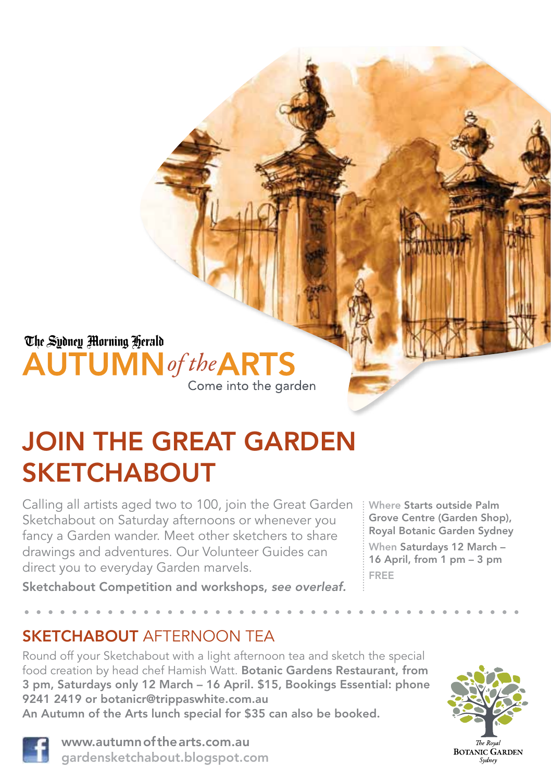## The Sydney Morning Herald **AUTUMN** of the **ARTS** Come into the garden

# JOIN THE GREAT GARDEN **SKETCHABOUT**

Calling all artists aged two to 100, join the Great Garden Sketchabout on Saturday afternoons or whenever you fancy a Garden wander. Meet other sketchers to share drawings and adventures. Our Volunteer Guides can direct you to everyday Garden marvels.

Where Starts outside Palm Grove Centre (Garden Shop), Royal Botanic Garden Sydney

When Saturdays 12 March – 16 April, from 1 pm – 3 pm FREE

Sketchabout Competition and workshops, *see overleaf.*

## SKETCHABOUT AFTERNOON TEA

Round off your Sketchabout with a light afternoon tea and sketch the special food creation by head chef Hamish Watt. Botanic Gardens Restaurant, from 3 pm, Saturdays only 12 March – 16 April. \$15, Bookings Essential: phone 9241 2419 or botanicr@trippaswhite.com.au An Autumn of the Arts lunch special for \$35 can also be booked.